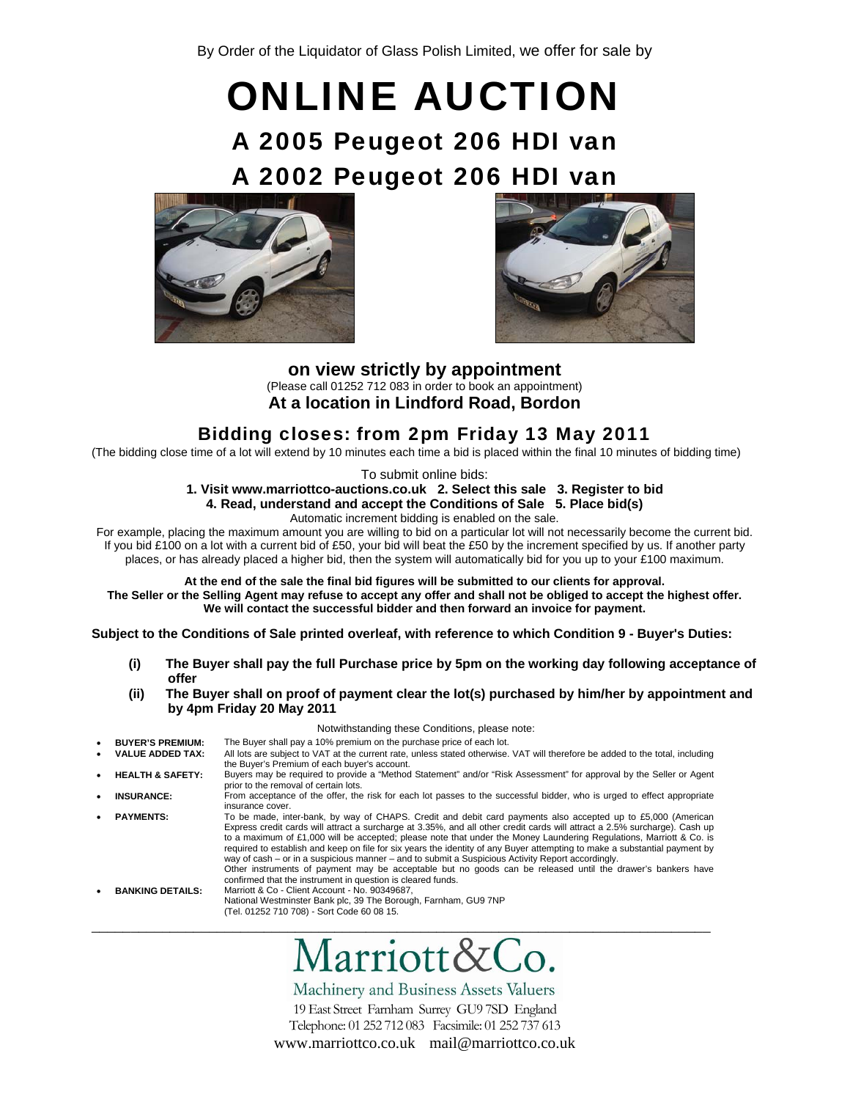# ONLINE AUCTION A 2005 Peugeot 206 HDI van A 2002 Peugeot 206 HDI van





**on view strictly by appointment**  (Please call 01252 712 083 in order to book an appointment) **At a location in Lindford Road, Bordon** 

# Bidding closes: from 2pm Friday 13 May 2011

(The bidding close time of a lot will extend by 10 minutes each time a bid is placed within the final 10 minutes of bidding time)

To submit online bids:

# **1. Visit www.marriottco-auctions.co.uk 2. Select this sale 3. Register to bid 4. Read, understand and accept the Conditions of Sale 5. Place bid(s)**

Automatic increment bidding is enabled on the sale.

For example, placing the maximum amount you are willing to bid on a particular lot will not necessarily become the current bid. If you bid £100 on a lot with a current bid of £50, your bid will beat the £50 by the increment specified by us. If another party places, or has already placed a higher bid, then the system will automatically bid for you up to your £100 maximum.

**At the end of the sale the final bid figures will be submitted to our clients for approval. The Seller or the Selling Agent may refuse to accept any offer and shall not be obliged to accept the highest offer. We will contact the successful bidder and then forward an invoice for payment.**

**Subject to the Conditions of Sale printed overleaf, with reference to which Condition 9 - Buyer's Duties:** 

- **(i) The Buyer shall pay the full Purchase price by 5pm on the working day following acceptance of offer**
- **(ii) The Buyer shall on proof of payment clear the lot(s) purchased by him/her by appointment and by 4pm Friday 20 May 2011**

 Notwithstanding these Conditions, please note: **BUYER'S PREMIUM:** The Buyer shall pay a 10% premium on the purchase price of each lot.<br>VALUE ADDED TAX: All lots are subject to VAT at the current rate, unless stated otherwise. All lots are subject to VAT at the current rate, unless stated otherwise. VAT will therefore be added to the total, including the Buyer's Premium of each buyer's account. • **HEALTH & SAFETY:** Buyers may be required to provide a "Method Statement" and/or "Risk Assessment" for approval by the Seller or Agent prior to the removal of certain lots. • **INSURANCE:** From acceptance of the offer, the risk for each lot passes to the successful bidder, who is urged to effect appropriate insurance cover. • **PAYMENTS:** To be made, inter-bank, by way of CHAPS. Credit and debit card payments also accepted up to £5,000 (American Express credit cards will attract a surcharge at 3.35%, and all other credit cards will attract a 2.5% surcharge). Cash up to a maximum of £1,000 will be accepted; please note that under the Money Laundering Regulations, Marriott & Co. is required to establish and keep on file for six years the identity of any Buyer attempting to make a substantial payment by way of cash – or in a suspicious manner – and to submit a Suspicious Activity Report accordingly. Other instruments of payment may be acceptable but no goods can be released until the drawer's bankers have confirmed that the instrument in question is cleared funds. • **BANKING DETAILS:** Marriott & Co - Client Account - No. 90349687, National Westminster Bank plc, 39 The Borough, Farnham, GU9 7NP (Tel. 01252 710 708) - Sort Code 60 08 15. \_\_\_\_\_\_\_\_\_\_\_\_\_\_\_\_\_\_\_\_\_\_\_\_\_\_\_\_\_\_\_\_\_\_\_\_\_\_\_\_\_\_\_\_\_\_\_\_\_\_\_\_\_\_\_\_\_\_\_\_\_\_\_\_\_\_\_\_\_\_\_\_\_\_\_\_\_\_\_

# $\bullet$ arriott&

Machinery and Business Assets Valuers 19 East Street Farnham Surrey GU9 7SD England Telephone: 01 252 712 083 Facsimile: 01 252 737 613 www.marriottco.co.uk mail@marriottco.co.uk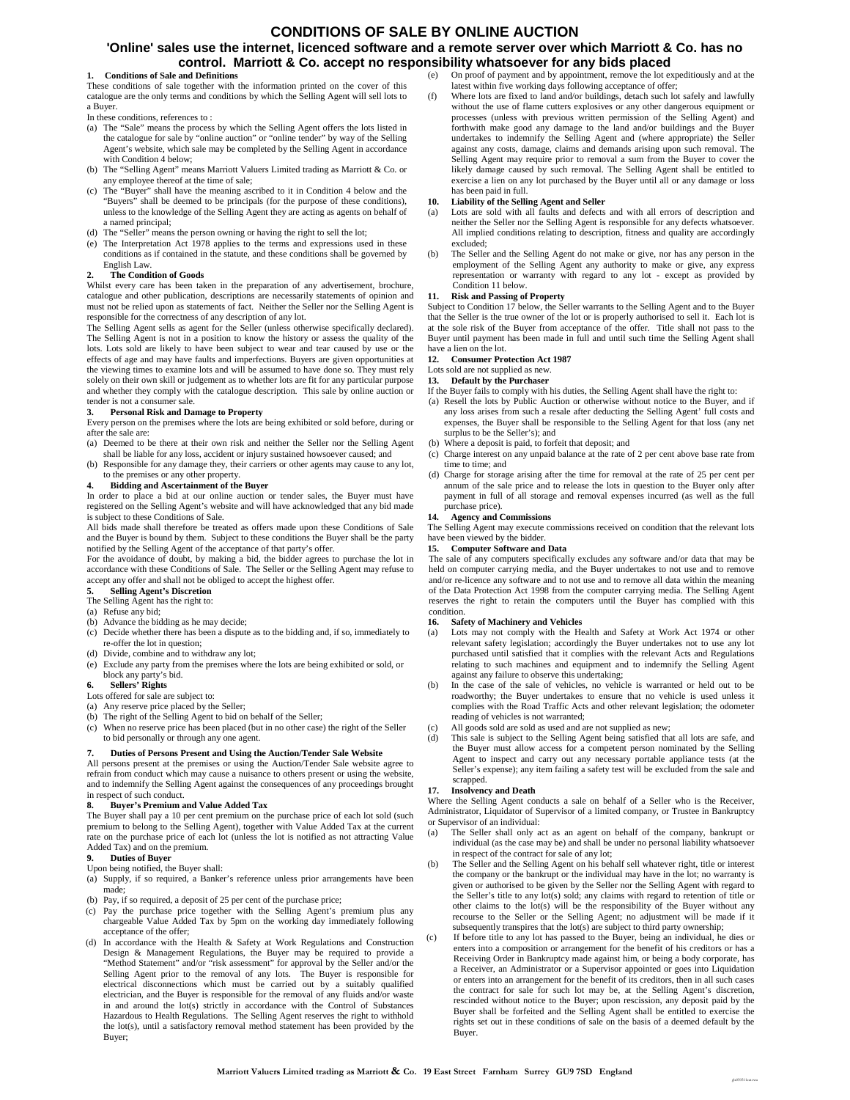#### **CONDITIONS OF SALE BY ONLINE AUCTION**

#### **'Online' sales use the internet, licenced software and a remote server over which Marriott & Co. has no control. Marriott & Co. accept no responsibility whatsoever for any bids placed**

#### **1. Conditions of Sale and Definitions**

These conditions of sale together with the information printed on the cover of this catalogue are the only terms and conditions by which the Selling Agent will sell lots to a Buyer.

In these conditions, references to :

- (a) The "Sale" means the process by which the Selling Agent offers the lots listed in the catalogue for sale by "online auction" or "online tender" by way of the Selling Agent's website, which sale may be completed by the Selling Agent in accordance with Condition 4 below;
- (b) The "Selling Agent" means Marriott Valuers Limited trading as Marriott & Co. or any employee thereof at the time of sale;
- (c) The "Buyer" shall have the meaning ascribed to it in Condition 4 below and the "Buyers" shall be deemed to be principals (for the purpose of these conditions), unless to the knowledge of the Selling Agent they are acting as agents on behalf of a named principal;
- (d) The "Seller" means the person owning or having the right to sell the lot;
- (e) The Interpretation Act 1978 applies to the terms and expressions used in these conditions as if contained in the statute, and these conditions shall be governed by English Law.

#### **2. The Condition of Goods**

Whilst every care has been taken in the preparation of any advertisement, brochure, catalogue and other publication, descriptions are necessarily statements of opinion and must not be relied upon as statements of fact. Neither the Seller nor the Selling Agent is responsible for the correctness of any description of any lot.

The Selling Agent sells as agent for the Seller (unless otherwise specifically declared). The Selling Agent is not in a position to know the history or assess the quality of the lots. Lots sold are likely to have been subject to wear and tear caused by use or the effects of age and may have faults and imperfections. Buyers are given opportunities at the viewing times to examine lots and will be assumed to have done so. They must rely solely on their own skill or judgement as to whether lots are fit for any particular purpose and whether they comply with the catalogue description. This sale by online auction or tender is not a consumer sale.

**3. Personal Risk and Damage to Property** Every person on the premises where the lots are being exhibited or sold before, during or after the sale are:

- (a) Deemed to be there at their own risk and neither the Seller nor the Selling Agent
- shall be liable for any loss, accident or injury sustained howsoever caused; and (b) Responsible for any damage they, their carriers or other agents may cause to any lot, to the premises or any other property.

#### **4. Bidding and Ascertainment of the Buyer**

In order to place a bid at our online auction or tender sales, the Buyer must have registered on the Selling Agent's website and will have acknowledged that any bid made is subject to these Conditions of Sale.

All bids made shall therefore be treated as offers made upon these Conditions of Sale and the Buyer is bound by them. Subject to these conditions the Buyer shall be the party notified by the Selling Agent of the acceptance of that party's offer.

For the avoidance of doubt, by making a bid, the bidder agrees to purchase the lot in accordance with these Conditions of Sale. The Seller or the Selling Agent may refuse to accept any offer and shall not be obliged to accept the highest offer.

#### **5. Selling Agent's Discretion**

The Selling Agent has the right to:

- (a) Refuse any bid;
- (b) Advance the bidding as he may decide;
- (c) Decide whether there has been a dispute as to the bidding and, if so, immediately to re-offer the lot in question;
- (d) Divide, combine and to withdraw any lot;
- (e) Exclude any party from the premises where the lots are being exhibited or sold, or block any party's bid.

#### **6. Sellers' Rights**

#### Lots offered for sale are subject to:

- (a) Any reserve price placed by the Seller;
- (b) The right of the Selling Agent to bid on behalf of the Seller;
- (c) When no reserve price has been placed (but in no other case) the right of the Seller to bid personally or through any one agent.

#### **7. Duties of Persons Present and Using the Auction/Tender Sale Website**

All persons present at the premises or using the Auction/Tender Sale website agree to refrain from conduct which may cause a nuisance to others present or using the website, and to indemnify the Selling Agent against the consequences of any proceedings brought in respect of such conduct.

#### **8. Buyer's Premium and Value Added Tax**

The Buyer shall pay a 10 per cent premium on the purchase price of each lot sold (such premium to belong to the Selling Agent), together with Value Added Tax at the current rate on the purchase price of each lot (unless the lot is notified as not attracting Value Added Tax) and on the premium.

#### **9. Duties of Buyer**

Upon being notified, the Buyer shall:

- (a) Supply, if so required, a Banker's reference unless prior arrangements have been made;
- (b) Pay, if so required, a deposit of 25 per cent of the purchase price;
- (c) Pay the purchase price together with the Selling Agent's premium plus any chargeable Value Added Tax by 5pm on the working day immediately following acceptance of the offer;
- (d) In accordance with the Health & Safety at Work Regulations and Construction Design & Management Regulations, the Buyer may be required to provide a "Method Statement" and/or "risk assessment" for approval by the Seller and/or the Selling Agent prior to the removal of any lots. The Buyer is responsible for electrical disconnections which must be carried out by a suitably qualified electrician, and the Buyer is responsible for the removal of any fluids and/or waste in and around the lot(s) strictly in accordance with the Control of Substances Hazardous to Health Regulations. The Selling Agent reserves the right to withhold the lot(s), until a satisfactory removal method statement has been provided by the Buyer;
- (e) On proof of payment and by appointment, remove the lot expeditiously and at the latest within five working days following acceptance of offer;
- (f) Where lots are fixed to land and/or buildings, detach such lot safely and lawfully without the use of flame cutters explosives or any other dangerous equipment or processes (unless with previous written permission of the Selling Agent) and forthwith make good any damage to the land and/or buildings and the Buyer undertakes to indemnify the Selling Agent and (where appropriate) the Seller against any costs, damage, claims and demands arising upon such removal. The Selling Agent may require prior to removal a sum from the Buyer to cover the likely damage caused by such removal. The Selling Agent shall be entitled to exercise a lien on any lot purchased by the Buyer until all or any damage or loss has been paid in full.

#### **10. Liability of the Selling Agent and Seller**

- Lots are sold with all faults and defects and with all errors of description and neither the Seller nor the Selling Agent is responsible for any defects whatsoever. All implied conditions relating to description, fitness and quality are accordingly excluded;
- (b) The Seller and the Selling Agent do not make or give, nor has any person in the employment of the Selling Agent any authority to make or give, any express representation or warranty with regard to any lot - except as provided by Condition 11 below.

#### **11. Risk and Passing of Property**

Subject to Condition 17 below, the Seller warrants to the Selling Agent and to the Buyer that the Seller is the true owner of the lot or is properly authorised to sell it. Each lot is at the sole risk of the Buyer from acceptance of the offer. Title shall not pass to the Buyer until payment has been made in full and until such time the Selling Agent shall have a lien on the lot.

#### **12. Consumer Protection Act 1987**

Lots sold are not supplied as new

**13. Default by the Purchaser**

- If the Buyer fails to comply with his duties, the Selling Agent shall have the right to:
- (a) Resell the lots by Public Auction or otherwise without notice to the Buyer, and if any loss arises from such a resale after deducting the Selling Agent' full costs and expenses, the Buyer shall be responsible to the Selling Agent for that loss (any net surplus to be the Seller's); and
- (b) Where a deposit is paid, to forfeit that deposit; and
- (c) Charge interest on any unpaid balance at the rate of 2 per cent above base rate from time to time; and
- (d) Charge for storage arising after the time for removal at the rate of 25 per cent per annum of the sale price and to release the lots in question to the Buyer only after payment in full of all storage and removal expenses incurred (as well as the full purchase price).

#### **14. Agency and Commissions**

The Selling Agent may execute commissions received on condition that the relevant lots have been viewed by the bidder

#### **15. Computer Software and Data**

The sale of any computers specifically excludes any software and/or data that may be held on computer carrying media, and the Buyer undertakes to not use and to remove and/or re-licence any software and to not use and to remove all data within the meaning of the Data Protection Act 1998 from the computer carrying media. The Selling Agent reserves the right to retain the computers until the Buyer has complied with this condition.

#### **16. Safety of Machinery and Vehicles**

- (a) Lots may not comply with the Health and Safety at Work Act 1974 or other relevant safety legislation; accordingly the Buyer undertakes not to use any lot purchased until satisfied that it complies with the relevant Acts and Regulations relating to such machines and equipment and to indemnify the Selling Agent against any failure to observe this undertaking;
- (b) In the case of the sale of vehicles, no vehicle is warranted or held out to be roadworthy; the Buyer undertakes to ensure that no vehicle is used unless it complies with the Road Traffic Acts and other relevant legislation; the odometer reading of vehicles is not warranted;
- (c) All goods sold are sold as used and are not supplied as new;
- (d) This sale is subject to the Selling Agent being satisfied that all lots are safe, and the Buyer must allow access for a competent person nominated by the Selling Agent to inspect and carry out any necessary portable appliance tests (at the Seller's expense); any item failing a safety test will be excluded from the sale and scrapped.

#### **17. Insolvency and Death**

Where the Selling Agent conducts a sale on behalf of a Seller who is the Receiver, Administrator, Liquidator of Supervisor of a limited company, or Trustee in Bankruptcy or Supervisor of an individual:

- (a) The Seller shall only act as an agent on behalf of the company, bankrupt or individual (as the case may be) and shall be under no personal liability whatsoever in respect of the contract for sale of any lot;
- (b) The Seller and the Selling Agent on his behalf sell whatever right, title or interest the company or the bankrupt or the individual may have in the lot; no warranty is given or authorised to be given by the Seller nor the Selling Agent with regard to the Seller's title to any lot(s) sold; any claims with regard to retention of title or other claims to the lot(s) will be the responsibility of the Buyer without any recourse to the Seller or the Selling Agent; no adjustment will be made if it subsequently transpires that the lot(s) are subject to third party ownership;
- If before title to any lot has passed to the Buyer, being an individual, he dies or enters into a composition or arrangement for the benefit of his creditors or has a Receiving Order in Bankruptcy made against him, or being a body corporate, has a Receiver, an Administrator or a Supervisor appointed or goes into Liquidation or enters into an arrangement for the benefit of its creditors, then in all such cases the contract for sale for such lot may be, at the Selling Agent's discretion, rescinded without notice to the Buyer; upon rescission, any deposit paid by the Buyer shall be forfeited and the Selling Agent shall be entitled to exercise the rights set out in these conditions of sale on the basis of a deemed default by the Buyer.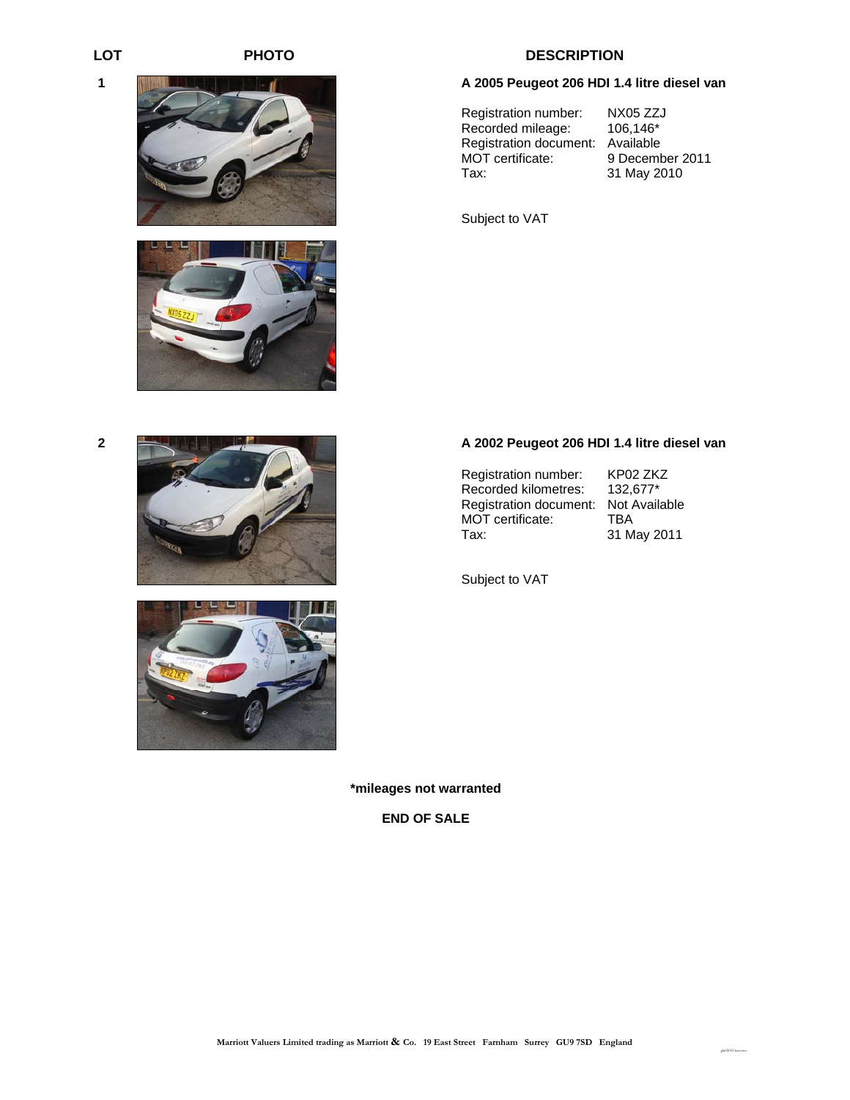**1** 

 $\parallel$ 











# LOT PHOTO **PHOTO** DESCRIPTION

#### **A 2005 Peugeot 206 HDI 1.4 litre diesel van**

Registration number: NX05 ZZJ<br>Recorded mileage: 106,146\* Recorded mileage: Registration document: Available<br>MOT certificate: 9 Decemb Tax: 31 May 2010

9 December 2011

Subject to VAT

### **2 A 2002 Peugeot 206 HDI 1.4 litre diesel van**

Registration number: KP02 ZKZ<br>Recorded kilometres: 132,677\* Recorded kilometres: Registration document: Not Available<br>MOT certificate: TBA MOT certificate: Tax: 31 May 2011

gla050511cat.twa

Subject to VAT

**\*mileages not warranted**

**END OF SALE**